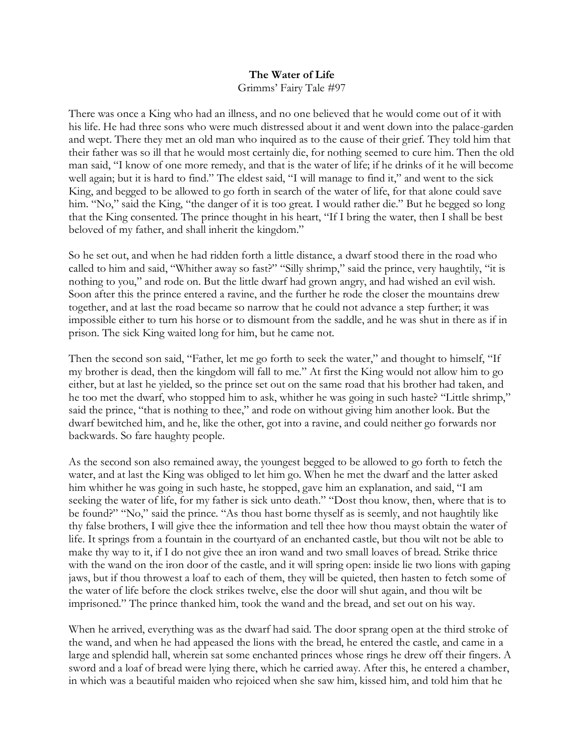## **The Water of Life**  Grimms' Fairy Tale #97

There was once a King who had an illness, and no one believed that he would come out of it with his life. He had three sons who were much distressed about it and went down into the palace-garden and wept. There they met an old man who inquired as to the cause of their grief. They told him that their father was so ill that he would most certainly die, for nothing seemed to cure him. Then the old man said, "I know of one more remedy, and that is the water of life; if he drinks of it he will become well again; but it is hard to find." The eldest said, "I will manage to find it," and went to the sick King, and begged to be allowed to go forth in search of the water of life, for that alone could save him. "No," said the King, "the danger of it is too great. I would rather die." But he begged so long that the King consented. The prince thought in his heart, "If I bring the water, then I shall be best beloved of my father, and shall inherit the kingdom."

So he set out, and when he had ridden forth a little distance, a dwarf stood there in the road who called to him and said, "Whither away so fast?" "Silly shrimp," said the prince, very haughtily, "it is nothing to you," and rode on. But the little dwarf had grown angry, and had wished an evil wish. Soon after this the prince entered a ravine, and the further he rode the closer the mountains drew together, and at last the road became so narrow that he could not advance a step further; it was impossible either to turn his horse or to dismount from the saddle, and he was shut in there as if in prison. The sick King waited long for him, but he came not.

Then the second son said, "Father, let me go forth to seek the water," and thought to himself, "If my brother is dead, then the kingdom will fall to me." At first the King would not allow him to go either, but at last he yielded, so the prince set out on the same road that his brother had taken, and he too met the dwarf, who stopped him to ask, whither he was going in such haste? "Little shrimp," said the prince, "that is nothing to thee," and rode on without giving him another look. But the dwarf bewitched him, and he, like the other, got into a ravine, and could neither go forwards nor backwards. So fare haughty people.

As the second son also remained away, the youngest begged to be allowed to go forth to fetch the water, and at last the King was obliged to let him go. When he met the dwarf and the latter asked him whither he was going in such haste, he stopped, gave him an explanation, and said, "I am seeking the water of life, for my father is sick unto death." "Dost thou know, then, where that is to be found?" "No," said the prince. "As thou hast borne thyself as is seemly, and not haughtily like thy false brothers, I will give thee the information and tell thee how thou mayst obtain the water of life. It springs from a fountain in the courtyard of an enchanted castle, but thou wilt not be able to make thy way to it, if I do not give thee an iron wand and two small loaves of bread. Strike thrice with the wand on the iron door of the castle, and it will spring open: inside lie two lions with gaping jaws, but if thou throwest a loaf to each of them, they will be quieted, then hasten to fetch some of the water of life before the clock strikes twelve, else the door will shut again, and thou wilt be imprisoned." The prince thanked him, took the wand and the bread, and set out on his way.

When he arrived, everything was as the dwarf had said. The door sprang open at the third stroke of the wand, and when he had appeased the lions with the bread, he entered the castle, and came in a large and splendid hall, wherein sat some enchanted princes whose rings he drew off their fingers. A sword and a loaf of bread were lying there, which he carried away. After this, he entered a chamber, in which was a beautiful maiden who rejoiced when she saw him, kissed him, and told him that he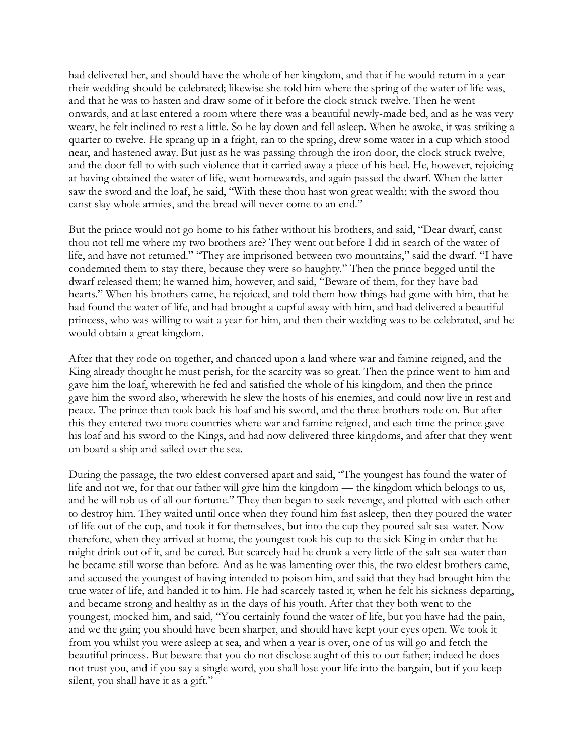had delivered her, and should have the whole of her kingdom, and that if he would return in a year their wedding should be celebrated; likewise she told him where the spring of the water of life was, and that he was to hasten and draw some of it before the clock struck twelve. Then he went onwards, and at last entered a room where there was a beautiful newly-made bed, and as he was very weary, he felt inclined to rest a little. So he lay down and fell asleep. When he awoke, it was striking a quarter to twelve. He sprang up in a fright, ran to the spring, drew some water in a cup which stood near, and hastened away. But just as he was passing through the iron door, the clock struck twelve, and the door fell to with such violence that it carried away a piece of his heel. He, however, rejoicing at having obtained the water of life, went homewards, and again passed the dwarf. When the latter saw the sword and the loaf, he said, "With these thou hast won great wealth; with the sword thou canst slay whole armies, and the bread will never come to an end."

But the prince would not go home to his father without his brothers, and said, "Dear dwarf, canst thou not tell me where my two brothers are? They went out before I did in search of the water of life, and have not returned." "They are imprisoned between two mountains," said the dwarf. "I have condemned them to stay there, because they were so haughty." Then the prince begged until the dwarf released them; he warned him, however, and said, "Beware of them, for they have bad hearts." When his brothers came, he rejoiced, and told them how things had gone with him, that he had found the water of life, and had brought a cupful away with him, and had delivered a beautiful princess, who was willing to wait a year for him, and then their wedding was to be celebrated, and he would obtain a great kingdom.

After that they rode on together, and chanced upon a land where war and famine reigned, and the King already thought he must perish, for the scarcity was so great. Then the prince went to him and gave him the loaf, wherewith he fed and satisfied the whole of his kingdom, and then the prince gave him the sword also, wherewith he slew the hosts of his enemies, and could now live in rest and peace. The prince then took back his loaf and his sword, and the three brothers rode on. But after this they entered two more countries where war and famine reigned, and each time the prince gave his loaf and his sword to the Kings, and had now delivered three kingdoms, and after that they went on board a ship and sailed over the sea.

During the passage, the two eldest conversed apart and said, "The youngest has found the water of life and not we, for that our father will give him the kingdom — the kingdom which belongs to us, and he will rob us of all our fortune." They then began to seek revenge, and plotted with each other to destroy him. They waited until once when they found him fast asleep, then they poured the water of life out of the cup, and took it for themselves, but into the cup they poured salt sea-water. Now therefore, when they arrived at home, the youngest took his cup to the sick King in order that he might drink out of it, and be cured. But scarcely had he drunk a very little of the salt sea-water than he became still worse than before. And as he was lamenting over this, the two eldest brothers came, and accused the youngest of having intended to poison him, and said that they had brought him the true water of life, and handed it to him. He had scarcely tasted it, when he felt his sickness departing, and became strong and healthy as in the days of his youth. After that they both went to the youngest, mocked him, and said, "You certainly found the water of life, but you have had the pain, and we the gain; you should have been sharper, and should have kept your eyes open. We took it from you whilst you were asleep at sea, and when a year is over, one of us will go and fetch the beautiful princess. But beware that you do not disclose aught of this to our father; indeed he does not trust you, and if you say a single word, you shall lose your life into the bargain, but if you keep silent, you shall have it as a gift."